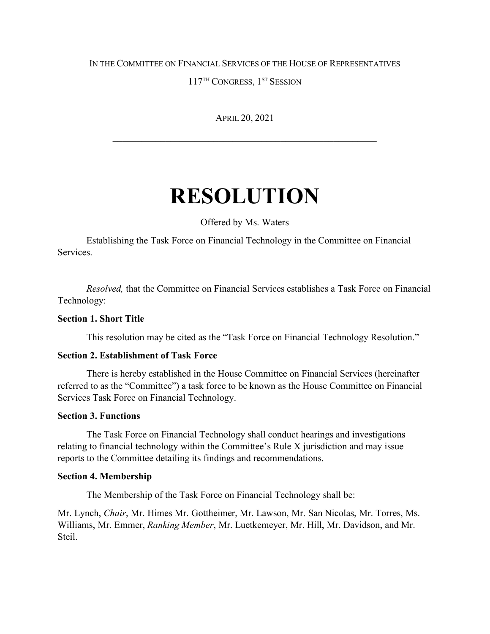## IN THE COMMITTEE ON FINANCIAL SERVICES OF THE HOUSE OF REPRESENTATIVES

117<sup>TH</sup> CONGRESS, 1<sup>ST</sup> SESSION

APRIL 20, 2021

**\_\_\_\_\_\_\_\_\_\_\_\_\_\_\_\_\_\_\_\_\_\_\_\_\_\_\_\_\_\_\_\_\_\_\_\_\_\_\_\_\_\_\_\_\_\_\_\_\_\_\_\_\_\_\_**

# **RESOLUTION**

Offered by Ms. Waters

Establishing the Task Force on Financial Technology in the Committee on Financial Services.

*Resolved,* that the Committee on Financial Services establishes a Task Force on Financial Technology:

# **Section 1. Short Title**

This resolution may be cited as the "Task Force on Financial Technology Resolution."

#### **Section 2. Establishment of Task Force**

There is hereby established in the House Committee on Financial Services (hereinafter referred to as the "Committee") a task force to be known as the House Committee on Financial Services Task Force on Financial Technology.

#### **Section 3. Functions**

The Task Force on Financial Technology shall conduct hearings and investigations relating to financial technology within the Committee's Rule X jurisdiction and may issue reports to the Committee detailing its findings and recommendations.

#### **Section 4. Membership**

The Membership of the Task Force on Financial Technology shall be:

Mr. Lynch, *Chair*, Mr. Himes Mr. Gottheimer, Mr. Lawson, Mr. San Nicolas, Mr. Torres, Ms. Williams, Mr. Emmer, *Ranking Member*, Mr. Luetkemeyer, Mr. Hill, Mr. Davidson, and Mr. Steil.